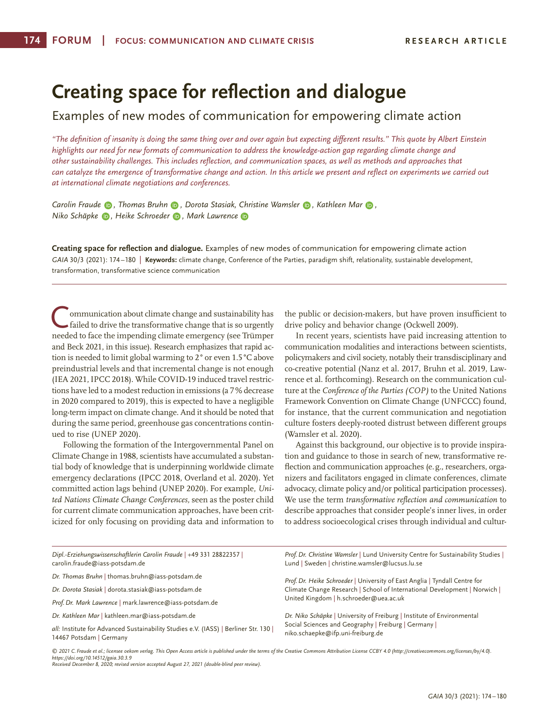# **Creating space for reflection and dialogue**

Examples of new modes of communication for empowering climate action

*"The definition of insanity is doing the same thing over and over again but expecting different results." This quote by Albert Einstein highlights our need for new formats of communication to address the knowledge-action gap regarding climate change and other sustainability challenges. This includes reflection, and communication spaces, as well as methods and approaches that*  can catalyze the emergence of transformative change and action. In this article we present and reflect on experiments we carried out *at international climate negotiations and conferences.* 

*CarolinFraude D, Thomas Bruhn* **D**, Dorota Stasiak, Christine Wamsler **D**, Kathleen Mar **D**, *Niko Schäpke [,](https://orcid.org/0000-0003-2232-1430) Heike Schroeder [,](https://orcid.org/0000-0003-2342-2030) Mark Lawrence*

**Creating space for reflection and dialogue.** Examples of new modes of communication for empowering climate action *GAIA* 30/3 (2021): 174 –180 | **Keywords:** climate change, Conference of the Parties, paradigm shift, relationality, sustainable development, transformation, transformative science communication

ommunication about climate change and sustainability has failed to drive the transformative change that is so urgently needed to face the impending climate emergency (see Trümper and Beck 2021, in this issue). Research emphasizes that rapid action is needed to limit global warming to 2° or even 1.5°C above preindustrial levels and that incremental change is not enough (IEA 2021, IPCC 2018). While COVID-19 induced travel restrictions have led to a modest reduction in emissions (a 7% decrease in 2020 compared to 2019), this is expected to have a negligible long-term impact on climate change. And it should be noted that during the same period, greenhouse gas concentrations continued to rise (UNEP 2020).

Following the formation of the Intergovernmental Panel on Climate Change in 1988, scientists have accumulated a substantial body of knowledge that is underpinning worldwide climate emergency declarations (IPCC 2018, Overland et al. 2020). Yet committed action lags behind (UNEP 2020). For example, *United Nations Climate Change Conferences,* seen as the poster child for current climate communication approaches, have been criticized for only focusing on providing data and information to

the public or decision-makers, but have proven insufficient to drive policy and behavior change (Ockwell 2009).

In recent years, scientists have paid increasing attention to communication modalities and interactions between scientists, policymakers and civil society, notably their transdisciplinary and co-creative potential (Nanz et al. 2017, Bruhn et al. 2019, Lawrence et al. forthcoming). Research on the communication culture at the *Conference of the Parties (COP)* to the United Nations Framework Convention on Climate Change (UNFCCC) found, for instance, that the current communication and negotiation culture fosters deeply-rooted distrust between different groups (Wamsler et al. 2020).

Against this background, our objective is to provide inspiration and guidance to those in search of new, transformative reflection and communication approaches (e.g., researchers, organizers and facilitators engaged in climate conferences, climate advocacy, climate policy and/or political participation processes). We use the term *transformative reflection and communication* to describe approaches that consider people's inner lives, in order to address socioecological crises through individual and cultur-

| Dipl.-Erziehungswissenschaftlerin Carolin Fraude   +49 331 28822357  <br>carolin.fraude@iass-potsdam.de                                                                                                                                          | Prof. Dr. Christine Wamsler   Lund University Centre for Sustainability Studies  <br>Lund   Sweden   christine.wamsler@lucsus.lu.se                                 |
|--------------------------------------------------------------------------------------------------------------------------------------------------------------------------------------------------------------------------------------------------|---------------------------------------------------------------------------------------------------------------------------------------------------------------------|
| Dr. Thomas Bruhn   thomas.bruhn@iass-potsdam.de                                                                                                                                                                                                  | Prof. Dr. Heike Schroeder   University of East Anglia   Tyndall Centre for                                                                                          |
| Dr. Dorota Stasiak   dorota.stasiak@iass-potsdam.de                                                                                                                                                                                              | Climate Change Research   School of International Development   Norwich  <br>United Kingdom   h.schroeder@uea.ac.uk                                                 |
| Prof. Dr. Mark Lawrence   mark.lawrence@iass-potsdam.de                                                                                                                                                                                          |                                                                                                                                                                     |
| Dr. Kathleen Mar   kathleen.mar@iass-potsdam.de                                                                                                                                                                                                  | Dr. Niko Schäpke   University of Freiburg   Institute of Environmental<br>Social Sciences and Geography   Freiburg   Germany  <br>niko.schaepke@ifp.uni-freiburg.de |
| all: Institute for Advanced Sustainability Studies e.V. (IASS)   Berliner Str. 130  <br>14467 Potsdam   Germany                                                                                                                                  |                                                                                                                                                                     |
| © 2021 C. Fraude et al.; licensee oekom verlag. This Open Access article is published under the terms of the Creative Commons Attribution License CCBY 4.0 (http://creativecommons.org/licenses/by/4.0).<br>https://doi.org/10.14512/gaia.30.3.9 |                                                                                                                                                                     |

*Received December 8, 2020; revised version accepted August 27, 2021 (double-blind peer review).*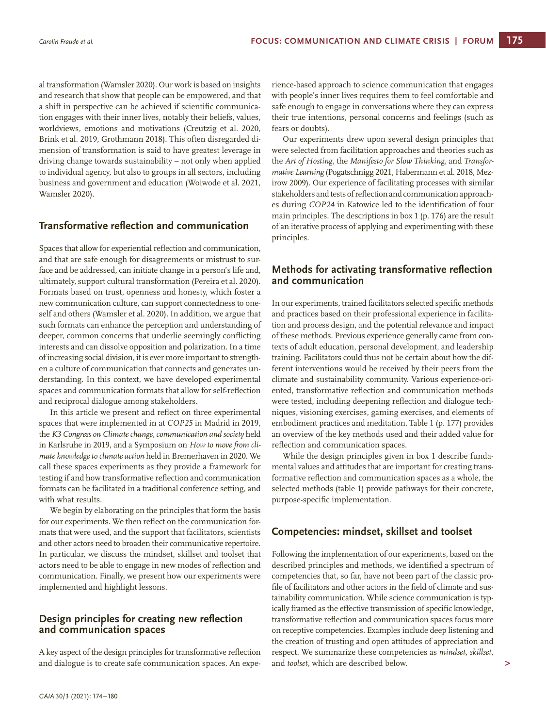al transformation (Wamsler 2020). Our work is based on insights and research that show that people can be empowered, and that a shift in perspective can be achieved if scientific communication engages with their inner lives, notably their beliefs, values, worldviews, emotions and motivations (Creutzig et al. 2020, Brink et al. 2019, Grothmann 2018). This often disregarded dimension of transformation is said to have greatest leverage in driving change towards sustainability – not only when applied to individual agency, but also to groups in all sectors, including business and government and education (Woiwode et al. 2021, Wamsler 2020).

# **Transformative reflection and communication**

Spaces that allow for experiential reflection and communication, and that are safe enough for disagreements or mistrust to surface and be addressed, can initiate change in a person's life and, ultimately, support cultural transformation (Pereira et al. 2020). Formats based on trust, openness and honesty, which foster a new communication culture, can support connectedness to oneself and others (Wamsler et al. 2020). In addition, we argue that such formats can enhance the perception and understanding of deeper, common concerns that underlie seemingly conflicting interests and can dissolve opposition and polarization. In a time of increasing social division, it is ever more important to strengthen a culture of communication that connects and generates understanding. In this context, we have developed experimental spaces and communication formats that allow for self-reflection and reciprocal dialogue among stakeholders.

In this article we present and reflect on three experimental spaces that were implemented in at *COP25* in Madrid in 2019, the *K3 Congress on Climate change, communication and society* held in Karlsruhe in 2019, and a Symposium on *How to move from climate knowledge to climate action* held in Bremerhaven in 2020. We call these spaces experiments as they provide a framework for testing if and how transformative reflection and communication formats can be facilitated in a traditional conference setting, and with what results.

We begin by elaborating on the principles that form the basis for our experiments. We then reflect on the communication formats that were used, and the support that facilitators, scientists and other actors need to broaden their communicative repertoire. In particular, we discuss the mindset, skillset and toolset that actors need to be able to engage in new modes of reflection and communication. Finally, we present how our experiments were implemented and highlight lessons.

## **Design principles for creating new reflection and communication spaces**

A key aspect of the design principles for transformative reflection and dialogue is to create safe communication spaces. An expe-

rience-based approach to science communication that engages with people's inner lives requires them to feel comfortable and safe enough to engage in conversations where they can express their true intentions, personal concerns and feelings (such as fears or doubts).

Our experiments drew upon several design principles that were selected from facilitation approaches and theories such as the *Art of Hosting,* the *Manifesto for Slow Thinking,* and *Transformative Learning* (Pogatschnigg 2021, Habermann et al. 2018, Mezirow 2009). Our experience of facilitating processes with similar stakeholders and tests of reflection and communication approaches during *COP24* in Katowice led to the identification of four main principles. The descriptions in box 1 (p. 176) are the result of an iterative process of applying and experimenting with these principles.

# **Methods for activating transformative reflection and communication**

In our experiments, trained facilitators selected specific methods and practices based on their professional experience in facilitation and process design, and the potential relevance and impact of these methods. Previous experience generally came from contexts of adult education, personal development, and leadership training. Facilitators could thus not be certain about how the different interventions would be received by their peers from the climate and sustainability community. Various experience-oriented, transformative reflection and communication methods were tested, including deepening reflection and dialogue techniques, visioning exercises, gaming exercises, and elements of embodiment practices and meditation. Table 1 (p. 177) provides an overview of the key methods used and their added value for reflection and communication spaces.

While the design principles given in box 1 describe fundamental values and attitudes that are important for creating transformative reflection and communication spaces as a whole, the selected methods (table 1) provide pathways for their concrete, purpose-specific implementation.

## **Competencies: mindset, skillset and toolset**

Following the implementation of our experiments, based on the described principles and methods, we identified a spectrum of competencies that, so far, have not been part of the classic profile of facilitators and other actors in the field of climate and sustainability communication. While science communication is typically framed as the effective transmission of specific knowledge, transformative reflection and communication spaces focus more on receptive competencies. Examples include deep listening and the creation of trusting and open attitudes of appreciation and respect. We summarize these competencies as *mindset, skillset,*  and *toolset,* which are described below.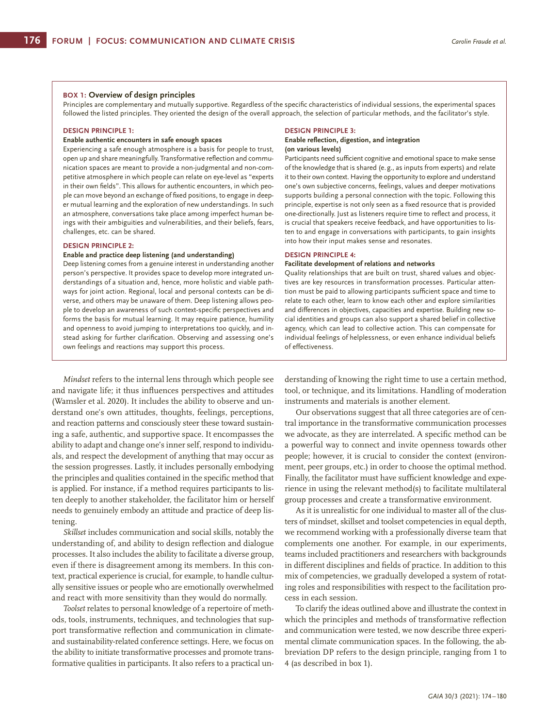#### **BOX 1: Overview of design principles**

Principles are complementary and mutually supportive. Regardless of the specific characteristics of individual sessions, the experimental spaces followed the listed principles. They oriented the design of the overall approach, the selection of particular methods, and the facilitator's style.

## **DESIGN PRINCIPLE 1:**

#### **Enable authentic encounters in safe enough spaces**

Experiencing a safe enough atmosphere is a basis for people to trust, open up and share meaningfully. Transformative reflection and communication spaces are meant to provide a non-judgmental and non-competitive atmosphere in which people can relate on eye-level as "experts in their own fields". This allows for authentic encounters, in which people can move beyond an exchange of fixed positions, to engage in deeper mutual learning and the exploration of new understandings. In such an atmosphere, conversations take place among imperfect human beings with their ambiguities and vulnerabilities, and their beliefs, fears, challenges, etc. can be shared.

#### **DESIGN PRINCIPLE 2:**

#### **Enable and practice deep listening (and understanding)**

Deep listening comes from a genuine interest in understanding another person's perspective. It provides space to develop more integrated understandings of a situation and, hence, more holistic and viable pathways for joint action. Regional, local and personal contexts can be diverse, and others may be unaware of them. Deep listening allows people to develop an awareness of such context-specific perspectives and forms the basis for mutual learning. It may require patience, humility and openness to avoid jumping to interpretations too quickly, and instead asking for further clarification. Observing and assessing one's own feelings and reactions may support this process.

#### **DESIGN PRINCIPLE 3:**

#### **Enable reflection, digestion, and integration (on various levels)**

Participants need sufficient cognitive and emotional space to make sense of the knowledge that is shared (e.g., as inputs from experts) and relate it to their own context. Having the opportunity to explore and understand one's own subjective concerns, feelings, values and deeper motivations supports building a personal connection with the topic. Following this principle, expertise is not only seen as a fixed resource that is provided one-directionally. Just as listeners require time to reflect and process, it is crucial that speakers receive feedback, and have opportunities to listen to and engage in conversations with participants, to gain insights into how their input makes sense and resonates.

#### **DESIGN PRINCIPLE 4:**

#### **Facilitate development of relations and networks**

Quality relationships that are built on trust, shared values and objectives are key resources in transformation processes. Particular attention must be paid to allowing participants sufficient space and time to relate to each other, learn to know each other and explore similarities and differences in objectives, capacities and expertise. Building new social identities and groups can also support a shared belief in collective agency, which can lead to collective action. This can compensate for individual feelings of helplessness, or even enhance individual beliefs of effectiveness.

*Mindset* refers to the internal lens through which people see and navigate life; it thus influences perspectives and attitudes (Wamsler et al. 2020). It includes the ability to observe and understand one's own attitudes, thoughts, feelings, perceptions, and reaction patterns and consciously steer these toward sustaining a safe, authentic, and supportive space. It encompasses the ability to adapt and change one's inner self, respond to individuals, and respect the development of anything that may occur as the session progresses. Lastly, it includes personally embodying the principles and qualities contained in the specific method that is applied. For instance, if a method requires participants to listen deeply to another stakeholder, the facilitator him or herself needs to genuinely embody an attitude and practice of deep listening.

*Skillset* includes communication and social skills, notably the understanding of, and ability to design reflection and dialogue processes. It also includes the ability to facilitate a diverse group, even if there is disagreement among its members. In this context, practical experience is crucial, for example, to handle culturally sensitive issues or people who are emotionally overwhelmed and react with more sensitivity than they would do normally.

*Toolset* relates to personal knowledge of a repertoire of methods, tools, instruments, techniques, and technologies that support transformative reflection and communication in climateand sustainability-related conference settings. Here, we focus on the ability to initiate transformative processes and promote transformative qualities in participants. It also refers to a practical understanding of knowing the right time to use a certain method, tool, or technique, and its limitations. Handling of moderation instruments and materials is another element.

Our observations suggest that all three categories are of central importance in the transformative communication processes we advocate, as they are interrelated. A specific method can be a powerful way to connect and invite openness towards other people; however, it is crucial to consider the context (environment, peer groups, etc.) in order to choose the optimal method. Finally, the facilitator must have sufficient knowledge and experience in using the relevant method(s) to facilitate multilateral group processes and create a transformative environment.

As it is unrealistic for one individual to master all of the clusters of mindset, skillset and toolset competencies in equal depth, we recommend working with a professionally diverse team that complements one another. For example, in our experiments, teams included practitioners and researchers with backgrounds in different disciplines and fields of practice. In addition to this mix of competencies, we gradually developed a system of rotating roles and responsibilities with respect to the facilitation process in each session.

To clarify the ideas outlined above and illustrate the context in which the principles and methods of transformative reflection and communication were tested, we now describe three experimental climate communication spaces. In the following, the abbreviation DP refers to the design principle, ranging from 1 to 4 (as described in box 1).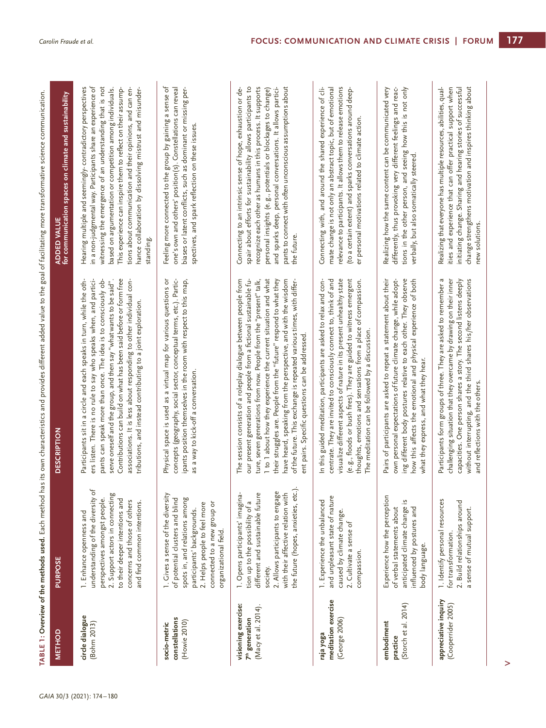|                                                                          |                                                                                                                                                                                                                                     | TABLE 1: Overview of the methods used. Each method has its own characteristics and provides different added value to the goal of facilitating more transformative science communication.                                                                                                                                                                                                                                                                                                                                                         |                                                                                                                                                                                                                                                                                                                                                                                                                                                        |
|--------------------------------------------------------------------------|-------------------------------------------------------------------------------------------------------------------------------------------------------------------------------------------------------------------------------------|--------------------------------------------------------------------------------------------------------------------------------------------------------------------------------------------------------------------------------------------------------------------------------------------------------------------------------------------------------------------------------------------------------------------------------------------------------------------------------------------------------------------------------------------------|--------------------------------------------------------------------------------------------------------------------------------------------------------------------------------------------------------------------------------------------------------------------------------------------------------------------------------------------------------------------------------------------------------------------------------------------------------|
| <b>METHOD</b>                                                            | PURPOSE                                                                                                                                                                                                                             | <b>DESCRIPTION</b>                                                                                                                                                                                                                                                                                                                                                                                                                                                                                                                               | ADDED VALUE<br>for communication spaces on climate and sustainability                                                                                                                                                                                                                                                                                                                                                                                  |
| circle dialogue<br>(Bohm 2013)                                           | understanding of the diversity of<br>2. Support actors in connecting<br>perspectives amongst people.<br>to their deeper intentions and<br>concerns and those of others<br>and find common intentions.<br>1. Enhance openness and    | Contributions can build on what has been said before or form free<br>ers listen. There is no rule to say who speaks when, and partici-<br>associations. It is less about responding to other individual con-<br>Participants sit in a circle and each speaks in turn, while the oth-<br>pants can speak more than once. The idea is to consciously ob-<br>serve oneself and the group, and then say "what wants to be said".<br>tributions, and instead contributing to a joint exploration.                                                     | Hearing multiple and seemingly-contradictory perspectives<br>in a non-judgmental way. Participants share an experience of<br>witnessing the emergence of an understanding that is not<br>tions about communication and their opinions, and can en-<br>hance collaboration by dissolving mistrust and misunder-<br>This experience can inspire them to reflect on their assump-<br>based on argumentation or competition among individuals.<br>standing |
| constellations<br>(Howie 2010)<br>socio-metric                           | 1. Gives a sense of the diversity<br>spots in, and relations among<br>of potential clusters and blind<br>2. Helps people to feel more<br>connected to a new group or<br>participants' backgrounds.<br>organizational field.         | Physical space is used as a virtual map for various questions or<br>concepts (geography, social sector, conceptual terms, etc.). Partic-<br>ipants position themselves in the room with respect to this map,<br>as a way to kick-off a conversation.                                                                                                                                                                                                                                                                                             | Feeling more connected to the group by gaining a sense of<br>one's own and others' position(s). Constellations can reveal<br>biases or latent conflicts, such as dominant or missing per-<br>spectives, and spark reflection on these issues.                                                                                                                                                                                                          |
| visioning exercise:<br>(Macy et al. 2014).<br>7 <sup>th</sup> generation | the future (hopes, anxieties, etc.)<br>2. Allows participants to engage<br>with their affective relation with<br>1. Opens participants' imagina-<br>different and sustainable future<br>tion up to the possibility of a<br>society. | The session consists of a roleplay dialogue between people from<br>1 to 1 about how they experience the current situation and what<br>their struggles are. People from the "future" respond to what they<br>have heard, speaking from the perspective, and with the wisdom<br>of the future. This exchange is repeated various times, with differ-<br>our present generation and people from a fictional sustainable fu-<br>ture, seven generations from now. People from the "present" talk,<br>ent pairs. Specific questions can be addressed. | recognize each other as humans in this process. It supports<br>pants to connect with often unconscious assumptions about<br>spair about efforts for sustainability allows participants to<br>and sparks deep, personal conversations. It allows partici-<br>Connecting to an intrinsic sense of hope, exhaustion or de-<br>personal insights (e.g., potentials or blockages to change)<br>the future.                                                  |
| meditation exercise<br>(George 2006)<br>raja yoga                        | and unpleasant state of nature<br>1. Experience the unbalanced<br>caused by climate change.<br>2. Cultivate a sense of<br>compassion.                                                                                               | visualize different aspects of nature in its present unhealthy state<br>(e.g., floods or bush fires). They are guided to witness emergent<br>centrate. They are invited to consciously connect to, think of and<br>In this guided meditation, participants are asked to relax and con-<br>thoughts, emotions and sensations from a place of compassion.<br>The meditation can be followed by a discussion.                                                                                                                                       | relevance to participants. It allows them to release emotions<br>Connecting with, and around the shared experience of cli-<br>mate change is not only an abstract topic, but of emotional<br>(to a certain extent) and sparks conversations around deep-<br>er personal motivations related to climate action.                                                                                                                                         |
| (Storch et al. 2014)<br>embodiment<br>practice                           | Experience how the perception<br>$\tilde{5}$<br>of verbal statements about<br>anticipated climate change<br>influenced by postures and<br>body language.                                                                            | Pairs of participants are asked to repeat a statement about their<br>own personal expectations of future climate change, while adopt-<br>ing different body postures relative to each other. They observe<br>how this affects the emotional and physical experience of both<br>what they express, and what they hear.                                                                                                                                                                                                                            | differently, thus provoking very different feelings and reac-<br>tions in the other person, and seeing how this is not only<br>Realizing how the same content can be communicated very<br>verbally, but also somatically steered                                                                                                                                                                                                                       |
| appreciative inquiry<br>(Cooperrider 2005)                               | 1. Identify personal resources<br>2. Build relationships around<br>a sense of mutual support.<br>for transformation.                                                                                                                | Participants form groups of three. They are asked to remember a<br>challenging situation that they overcame by drawing on their inner<br>capacities. One person shares a story. The second listens deeply<br>without interrupting, and the third shares his/her observations<br>and reflections with the others.                                                                                                                                                                                                                                 | ities and experience that can offer practical support when<br>Realizing that everyone has multiple resources, abilities, qual-<br>change strengthens motivation and inspires thinking about<br>initiating change. Sharing and hearing stories of successful<br>new solutions.                                                                                                                                                                          |

TABLE 1: Overview of the methods used. Each method has its own characteristics and provides different added value to the goal of facilitating more transformative science communication. **Overview of the methods used.** Each method has its own characteristics and provides different added value to the goal of facilitating more transformative science communication.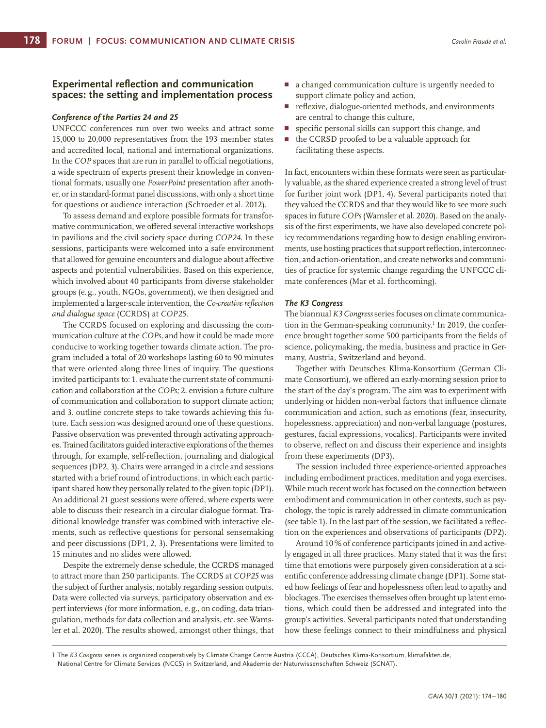## **Experimental reflection and communication spaces: the setting and implementation process**

## *Conference of the Parties 24 and 25*

UNFCCC conferences run over two weeks and attract some 15,000 to 20,000 representatives from the 193 member states and accredited local, national and international organizations. In the *COP* spaces that are run in parallel to official negotiations, a wide spectrum of experts present their knowledge in conventional formats, usually one *PowerPoint* presentation after another, or in standard-format panel discussions, with only a short time for questions or audience interaction (Schroeder et al. 2012).

To assess demand and explore possible formats for transformative communication, we offered several interactive workshops in pavilions and the civil society space during *COP24*. In these sessions, participants were welcomed into a safe environment that allowed for genuine encounters and dialogue about affective aspects and potential vulnerabilities. Based on this experience, which involved about 40 participants from diverse stakeholder groups (e.g., youth, NGOs, government), we then designed and implemented a larger-scale intervention, the *Co-creative reflection and dialogue space* (CCRDS) at *COP25*.

The CCRDS focused on exploring and discussing the communication culture at the *COPs,* and how it could be made more conducive to working together towards climate action. The program included a total of 20 workshops lasting 60 to 90 minutes that were oriented along three lines of inquiry. The questions invited participants to: 1. evaluate the current state of communication and collaboration at the *COPs;* 2. envision a future culture of communication and collaboration to support climate action; and 3. outline concrete steps to take towards achieving this future. Each session was designed around one of these questions. Passive observation was prevented through activating approaches. Trained facilitators guided interactive explorations of the themes through, for example, self-reflection, journaling and dialogical sequences (DP2, 3). Chairs were arranged in a circle and sessions started with a brief round of introductions, in which each participant shared how they personally related to the given topic (DP1). An additional 21 guest sessions were offered, where experts were able to discuss their research in a circular dialogue format. Traditional knowledge transfer was combined with interactive elements, such as reflective questions for personal sensemaking and peer discussions (DP1, 2, 3). Presentations were limited to 15 minutes and no slides were allowed.

Despite the extremely dense schedule, the CCRDS managed to attract more than 250 participants. The CCRDS at *COP25* was the subject of further analysis, notably regarding session outputs. Data were collected via surveys, participatory observation and expert interviews (for more information, e.g., on coding, data triangulation, methods for data collection and analysis, etc. see Wamsler et al. 2020). The results showed, amongst other things, that

- a changed communication culture is urgently needed to support climate policy and action,
- П reflexive, dialogue-oriented methods, and environments are central to change this culture,
- specific personal skills can support this change, and г
- $\Box$ the CCRSD proofed to be a valuable approach for facilitating these aspects.

In fact, encounters within these formats were seen as particularly valuable, as the shared experience created a strong level of trust for further joint work (DP1, 4). Several participants noted that they valued the CCRDS and that they would like to see more such spaces in future *COPs* (Wamsler et al. 2020). Based on the analysis of the first experiments, we have also developed concrete policy recommendations regarding how to design enabling environments, use hosting practices that support reflection, interconnection, and action-orientation, and create networks and communities of practice for systemic change regarding the UNFCCC climate conferences (Mar et al. forthcoming).

## *The K3 Congress*

The biannual *K3 Congress* series focuses on climate communication in the German-speaking community.<sup>1</sup> In 2019, the conference brought together some 500 participants from the fields of science, policymaking, the media, business and practice in Germany, Austria, Switzerland and beyond.

Together with Deutsches Klima-Konsortium (German Climate Consortium), we offered an early-morning session prior to the start of the day's program. The aim was to experiment with underlying or hidden non-verbal factors that influence climate communication and action, such as emotions (fear, insecurity, hopelessness, appreciation) and non-verbal language (postures, gestures, facial expressions, vocalics). Participants were invited to observe, reflect on and discuss their experience and insights from these experiments (DP3).

The session included three experience-oriented approaches including embodiment practices, meditation and yoga exercises. While much recent work has focused on the connection between embodiment and communication in other contexts, such as psychology, the topic is rarely addressed in climate communication (see table 1). In the last part of the session, we facilitated a reflection on the experiences and observations of participants (DP2).

Around 10% of conference participants joined in and actively engaged in all three practices. Many stated that it was the first time that emotions were purposely given consideration at a scientific conference addressing climate change (DP1). Some stated how feelings of fear and hopelessness often lead to apathy and blockages. The exercises themselves often brought up latent emotions, which could then be addressed and integrated into the group's activities. Several participants noted that understanding how these feelings connect to their mindfulness and physical

<sup>1</sup> The *K3 Congress* series is organized cooperatively by Climate Change Centre Austria (CCCA), Deutsches Klima-Konsortium, klimafakten.de, National Centre for Climate Services (NCCS) in Switzerland, and Akademie der Naturwissenschaften Schweiz (SCNAT).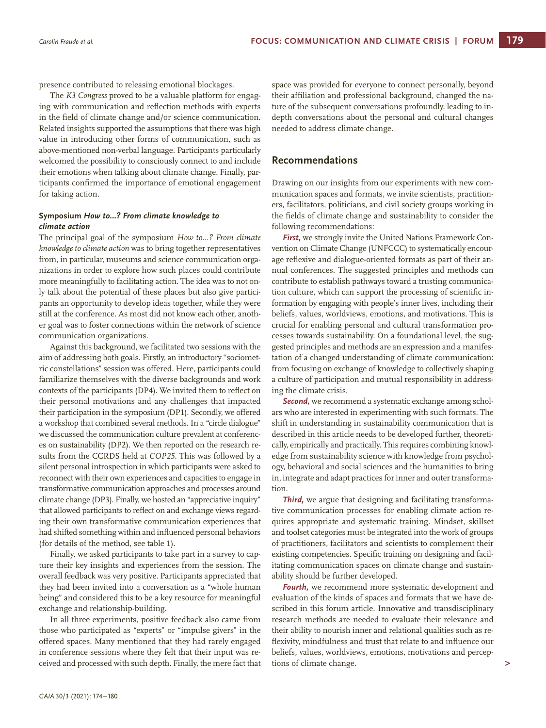presence contributed to releasing emotional blockages.

The *K3 Congress* proved to be a valuable platform for engaging with communication and reflection methods with experts in the field of climate change and/or science communication. Related insights supported the assumptions that there was high value in introducing other forms of communication, such as above-mentioned non-verbal language. Participants particularly welcomed the possibility to consciously connect to and include their emotions when talking about climate change. Finally, participants confirmed the importance of emotional engagement for taking action.

## **Symposium** *How to…? From climate knowledge to climate action*

The principal goal of the symposium *How to…? From climate knowledge to climate action* was to bring together representatives from, in particular, museums and science communication organizations in order to explore how such places could contribute more meaningfully to facilitating action. The idea was to not only talk about the potential of these places but also give participants an opportunity to develop ideas together, while they were still at the conference. As most did not know each other, another goal was to foster connections within the network of science communication organizations.

Against this background, we facilitated two sessions with the aim of addressing both goals. Firstly, an introductory "sociometric constellations" session was offered. Here, participants could familiarize themselves with the diverse backgrounds and work contexts of the participants (DP4). We invited them to reflect on their personal motivations and any challenges that impacted their participation in the symposium (DP1). Secondly, we offered a workshop that combined several methods. In a "circle dialogue" we discussed the communication culture prevalent at conferences on sustainability (DP2). We then reported on the research results from the CCRDS held at *COP25.* This was followed by a silent personal introspection in which participants were asked to reconnect with their own experiences and capacities to engage in transformative communication approaches and processes around climate change (DP3). Finally, we hosted an "appreciative inquiry" that allowed participants to reflect on and exchange views regarding their own transformative communication experiences that had shifted something within and influenced personal behaviors (for details of the method, see table 1).

Finally, we asked participants to take part in a survey to capture their key insights and experiences from the session. The overall feedback was very positive. Participants appreciated that they had been invited into a conversation as a "whole human being" and considered this to be a key resource for meaningful exchange and relationship-building.

In all three experiments, positive feedback also came from those who participated as "experts" or "impulse givers" in the offered spaces. Many mentioned that they had rarely engaged in conference sessions where they felt that their input was received and processed with such depth. Finally, the mere fact that space was provided for everyone to connect personally, beyond their affiliation and professional background, changed the nature of the subsequent conversations profoundly, leading to indepth conversations about the personal and cultural changes needed to address climate change.

# **Recommendations**

Drawing on our insights from our experiments with new communication spaces and formats, we invite scientists, practitioners, facilitators, politicians, and civil society groups working in the fields of climate change and sustainability to consider the following recommendations:

*First,* we strongly invite the United Nations Framework Convention on Climate Change (UNFCCC) to systematically encourage reflexive and dialogue-oriented formats as part of their annual conferences. The suggested principles and methods can contribute to establish pathways toward a trusting communication culture, which can support the processing of scientific information by engaging with people's inner lives, including their beliefs, values, worldviews, emotions, and motivations. This is crucial for enabling personal and cultural transformation processes towards sustainability. On a foundational level, the suggested principles and methods are an expression and a manifestation of a changed understanding of climate communication: from focusing on exchange of knowledge to collectively shaping a culture of participation and mutual responsibility in addressing the climate crisis.

**Second**, we recommend a systematic exchange among scholars who are interested in experimenting with such formats. The shift in understanding in sustainability communication that is described in this article needs to be developed further, theoretically, empirically and practically. This requires combining knowledge from sustainability science with knowledge from psychology, behavioral and social sciences and the humanities to bring in, integrate and adapt practices for inner and outer transformation.

*Third,* we argue that designing and facilitating transformative communication processes for enabling climate action requires appropriate and systematic training. Mindset, skillset and toolset categories must be integrated into the work of groups of practitioners, facilitators and scientists to complement their existing competencies. Specific training on designing and facilitating communication spaces on climate change and sustainability should be further developed.

*Fourth,* we recommend more systematic development and evaluation of the kinds of spaces and formats that we have described in this forum article. Innovative and transdisciplinary research methods are needed to evaluate their relevance and their ability to nourish inner and relational qualities such as reflexivity, mindfulness and trust that relate to and influence our beliefs, values, worldviews, emotions, motivations and perceptions of climate change.